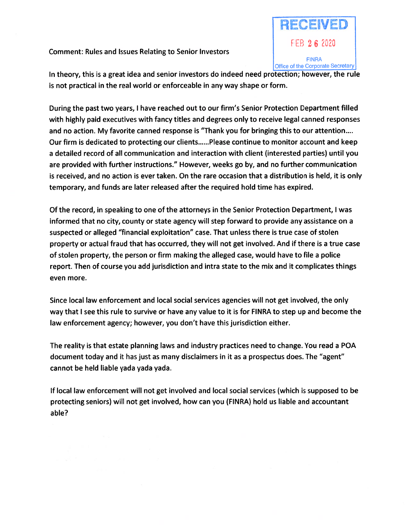## Comment: Rules and Issues Relating to Senior Investors



In theory, this is <sup>a</sup> grea<sup>t</sup> idea and senior investors do indeed need protection; however, the rule is not practical in the real world or enforceable in any way shape or form.

During the pas<sup>t</sup> two years, I have reached out to our firm's Senior Protection Department filled with highly paid executives with fancy titles and degrees only to receive legal canned responses and no action. My favorite canned response is "Thank you for bringing this to our attention.... Our firm is dedicated to protecting our clients......Please continue to monitor account and keep <sup>a</sup> detailed record of all communication and interaction with client (interested parties) until you are provided with further instructions." However, weeks go by, and no further communication is received, and no action is ever taken. On the rare occasion that <sup>a</sup> distribution is held, it is only temporary, and funds are later released after the required hold time has expired.

Of the record, in speaking to one of the attorneys in the Senior Protection Department, I was informed that no city, county or state agency will step forward to provide any assistance on <sup>a</sup> suspected or alleged "financial exploitation" case. That unless there is true case of stolen property or actual fraud that has occurred, they will not ge<sup>t</sup> involved. And if there is <sup>a</sup> true case of stolen property, the person or firm making the alleged case, would have to file <sup>a</sup> police report. Then of course you add jurisdiction and intra state to the mix and it complicates things even more.

Since local law enforcement and local social services agencies will not ge<sup>t</sup> involved, the only way that I see this rule to survive or have any value to it is for FINRA to step up and become the law enforcement agency; however, you don't have this jurisdiction either.

The reality is that estate planning laws and industry practices need to change. You read <sup>a</sup> POA document today and it has just as many disclaimers in it as <sup>a</sup> prospectus does. The "agent" cannot be held liable yada yada yada.

If local law enforcement will not ge<sup>t</sup> involved and local social services (which is supposed to be protecting seniors) will not ge<sup>t</sup> involved, how can you (FINRA) hold us liable and accountant able?